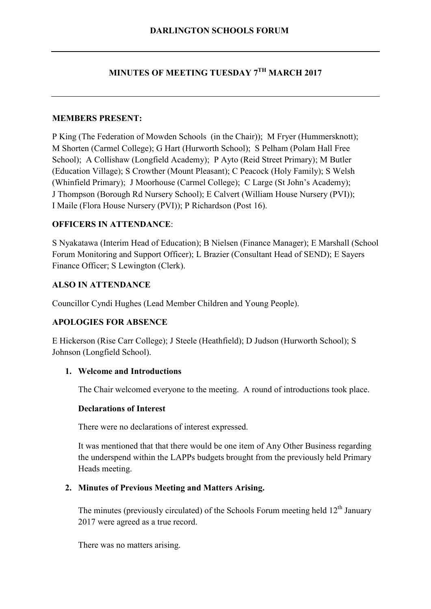# **MINUTES OF MEETING TUESDAY 7TH MARCH 2017**

#### **MEMBERS PRESENT:**

P King (The Federation of Mowden Schools (in the Chair)); M Fryer (Hummersknott); M Shorten (Carmel College); G Hart (Hurworth School); S Pelham (Polam Hall Free School); A Collishaw (Longfield Academy); P Ayto (Reid Street Primary); M Butler (Education Village); S Crowther (Mount Pleasant); C Peacock (Holy Family); S Welsh (Whinfield Primary); J Moorhouse (Carmel College); C Large (St John's Academy); J Thompson (Borough Rd Nursery School); E Calvert (William House Nursery (PVI)); I Maile (Flora House Nursery (PVI)); P Richardson (Post 16).

## **OFFICERS IN ATTENDANCE**:

S Nyakatawa (Interim Head of Education); B Nielsen (Finance Manager); E Marshall (School Forum Monitoring and Support Officer); L Brazier (Consultant Head of SEND); E Sayers Finance Officer; S Lewington (Clerk).

## **ALSO IN ATTENDANCE**

Councillor Cyndi Hughes (Lead Member Children and Young People).

## **APOLOGIES FOR ABSENCE**

E Hickerson (Rise Carr College); J Steele (Heathfield); D Judson (Hurworth School); S Johnson (Longfield School).

## **1. Welcome and Introductions**

The Chair welcomed everyone to the meeting. A round of introductions took place.

#### **Declarations of Interest**

There were no declarations of interest expressed.

It was mentioned that that there would be one item of Any Other Business regarding the underspend within the LAPPs budgets brought from the previously held Primary Heads meeting.

## **2. Minutes of Previous Meeting and Matters Arising.**

The minutes (previously circulated) of the Schools Forum meeting held 12<sup>th</sup> January 2017 were agreed as a true record.

There was no matters arising.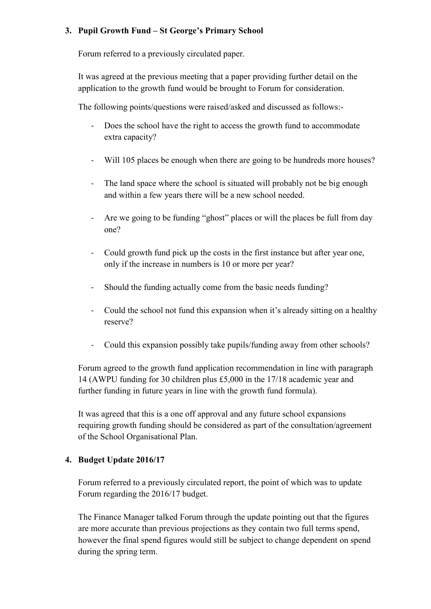## **3. Pupil Growth Fund – St George's Primary School**

Forum referred to a previously circulated paper.

It was agreed at the previous meeting that a paper providing further detail on the application to the growth fund would be brought to Forum for consideration.

The following points/questions were raised/asked and discussed as follows:-

- Does the school have the right to access the growth fund to accommodate extra capacity?
- Will 105 places be enough when there are going to be hundreds more houses?
- The land space where the school is situated will probably not be big enough and within a few years there will be a new school needed.
- Are we going to be funding "ghost" places or will the places be full from day one?
- Could growth fund pick up the costs in the first instance but after year one, only if the increase in numbers is 10 or more per year?
- Should the funding actually come from the basic needs funding?
- Could the school not fund this expansion when it's already sitting on a healthy reserve?
- Could this expansion possibly take pupils/funding away from other schools?

Forum agreed to the growth fund application recommendation in line with paragraph 14 (AWPU funding for 30 children plus £5,000 in the 17/18 academic year and further funding in future years in line with the growth fund formula).

It was agreed that this is a one off approval and any future school expansions requiring growth funding should be considered as part of the consultation/agreement of the School Organisational Plan.

## **4. Budget Update 2016/17**

Forum referred to a previously circulated report, the point of which was to update Forum regarding the 2016/17 budget.

The Finance Manager talked Forum through the update pointing out that the figures are more accurate than previous projections as they contain two full terms spend, however the final spend figures would still be subject to change dependent on spend during the spring term.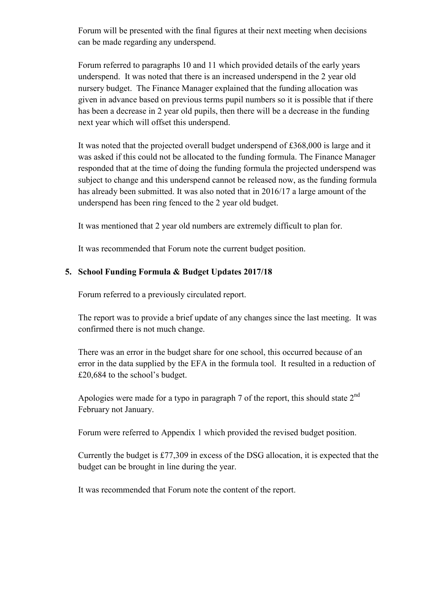Forum will be presented with the final figures at their next meeting when decisions can be made regarding any underspend.

Forum referred to paragraphs 10 and 11 which provided details of the early years underspend. It was noted that there is an increased underspend in the 2 year old nursery budget. The Finance Manager explained that the funding allocation was given in advance based on previous terms pupil numbers so it is possible that if there has been a decrease in 2 year old pupils, then there will be a decrease in the funding next year which will offset this underspend.

It was noted that the projected overall budget underspend of £368,000 is large and it was asked if this could not be allocated to the funding formula. The Finance Manager responded that at the time of doing the funding formula the projected underspend was subject to change and this underspend cannot be released now, as the funding formula has already been submitted. It was also noted that in 2016/17 a large amount of the underspend has been ring fenced to the 2 year old budget.

It was mentioned that 2 year old numbers are extremely difficult to plan for.

It was recommended that Forum note the current budget position.

## **5. School Funding Formula & Budget Updates 2017/18**

Forum referred to a previously circulated report.

The report was to provide a brief update of any changes since the last meeting. It was confirmed there is not much change.

There was an error in the budget share for one school, this occurred because of an error in the data supplied by the EFA in the formula tool. It resulted in a reduction of £20,684 to the school's budget.

Apologies were made for a typo in paragraph 7 of the report, this should state  $2<sup>nd</sup>$ February not January.

Forum were referred to Appendix 1 which provided the revised budget position.

Currently the budget is £77,309 in excess of the DSG allocation, it is expected that the budget can be brought in line during the year.

It was recommended that Forum note the content of the report.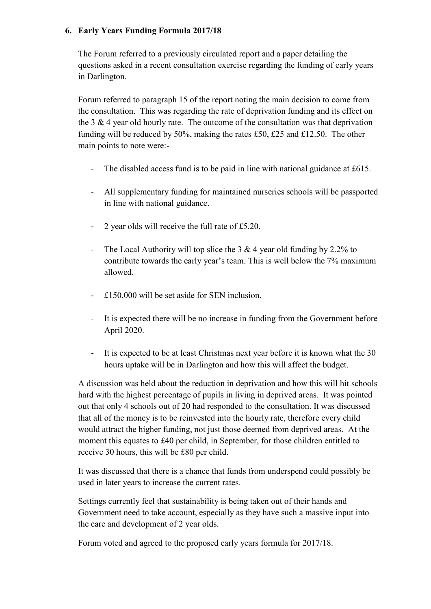## **6. Early Years Funding Formula 2017/18**

The Forum referred to a previously circulated report and a paper detailing the questions asked in a recent consultation exercise regarding the funding of early years in Darlington.

Forum referred to paragraph 15 of the report noting the main decision to come from the consultation. This was regarding the rate of deprivation funding and its effect on the 3  $\&$  4 year old hourly rate. The outcome of the consultation was that deprivation funding will be reduced by 50%, making the rates £50, £25 and £12.50. The other main points to note were:-

- The disabled access fund is to be paid in line with national guidance at £615.
- All supplementary funding for maintained nurseries schools will be passported in line with national guidance.
- 2 year olds will receive the full rate of £5.20.
- The Local Authority will top slice the 3  $\&$  4 year old funding by 2.2% to contribute towards the early year's team. This is well below the 7% maximum allowed.
- £150,000 will be set aside for SEN inclusion.
- It is expected there will be no increase in funding from the Government before April 2020.
- It is expected to be at least Christmas next year before it is known what the 30 hours uptake will be in Darlington and how this will affect the budget.

A discussion was held about the reduction in deprivation and how this will hit schools hard with the highest percentage of pupils in living in deprived areas. It was pointed out that only 4 schools out of 20 had responded to the consultation. It was discussed that all of the money is to be reinvested into the hourly rate, therefore every child would attract the higher funding, not just those deemed from deprived areas. At the moment this equates to £40 per child, in September, for those children entitled to receive 30 hours, this will be £80 per child.

It was discussed that there is a chance that funds from underspend could possibly be used in later years to increase the current rates.

Settings currently feel that sustainability is being taken out of their hands and Government need to take account, especially as they have such a massive input into the care and development of 2 year olds.

Forum voted and agreed to the proposed early years formula for 2017/18.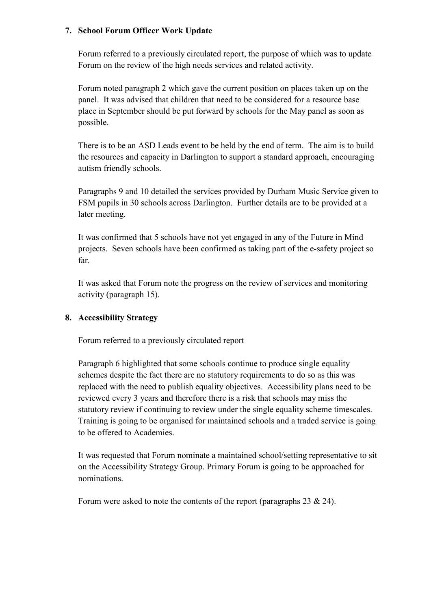## **7. School Forum Officer Work Update**

Forum referred to a previously circulated report, the purpose of which was to update Forum on the review of the high needs services and related activity.

Forum noted paragraph 2 which gave the current position on places taken up on the panel. It was advised that children that need to be considered for a resource base place in September should be put forward by schools for the May panel as soon as possible.

There is to be an ASD Leads event to be held by the end of term. The aim is to build the resources and capacity in Darlington to support a standard approach, encouraging autism friendly schools.

Paragraphs 9 and 10 detailed the services provided by Durham Music Service given to FSM pupils in 30 schools across Darlington. Further details are to be provided at a later meeting.

It was confirmed that 5 schools have not yet engaged in any of the Future in Mind projects. Seven schools have been confirmed as taking part of the e-safety project so far.

It was asked that Forum note the progress on the review of services and monitoring activity (paragraph 15).

## **8. Accessibility Strategy**

Forum referred to a previously circulated report

Paragraph 6 highlighted that some schools continue to produce single equality schemes despite the fact there are no statutory requirements to do so as this was replaced with the need to publish equality objectives. Accessibility plans need to be reviewed every 3 years and therefore there is a risk that schools may miss the statutory review if continuing to review under the single equality scheme timescales. Training is going to be organised for maintained schools and a traded service is going to be offered to Academies.

It was requested that Forum nominate a maintained school/setting representative to sit on the Accessibility Strategy Group. Primary Forum is going to be approached for nominations.

Forum were asked to note the contents of the report (paragraphs 23 & 24).